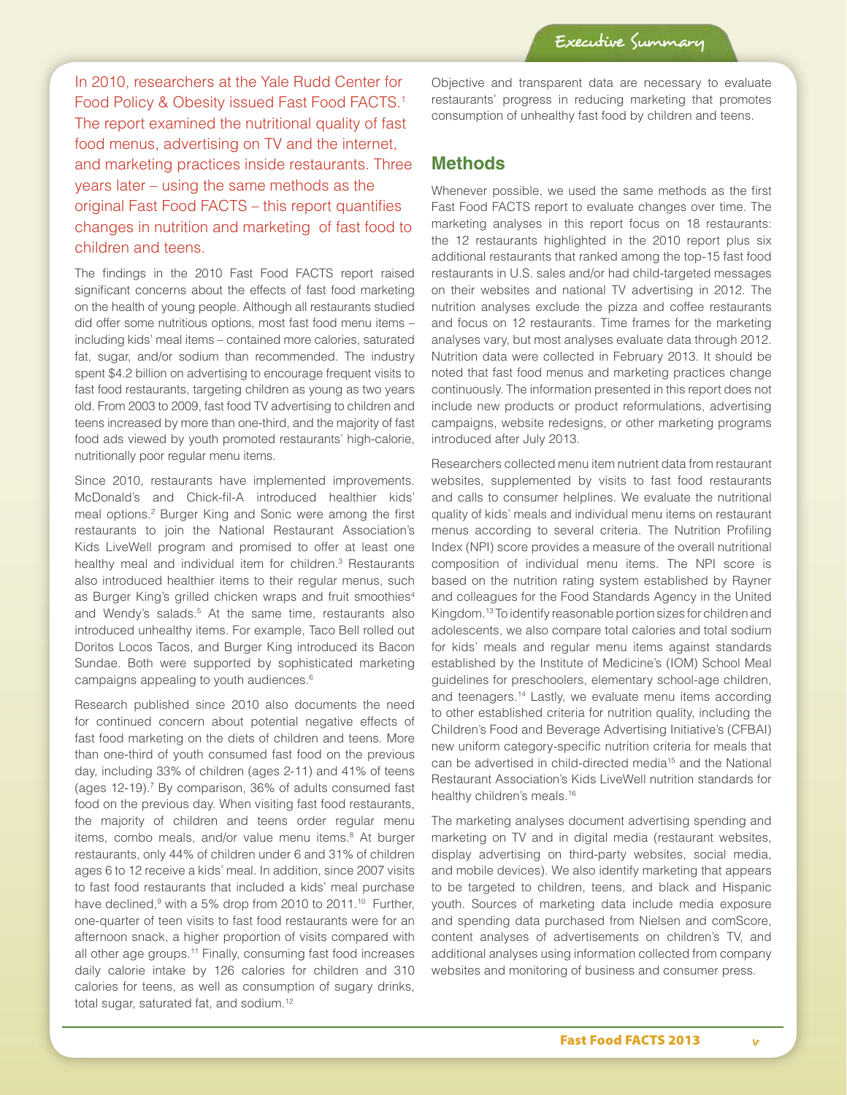In 2010, researchers at the Yale Rudd Center for Food Policy & Obesity issued Fast Food FACTS.<sup>1</sup> The report examined the nutritional quality of fast food menus, advertising on TV and the internet, and marketing practices inside restaurants. Three years later – using the same methods as the original Fast Food FACTS – this report quantifies changes in nutrition and marketing of fast food to children and teens.

The findings in the 2010 Fast Food FACTS report raised significant concerns about the effects of fast food marketing on the health of young people. Although all restaurants studied did offer some nutritious options, most fast food menu items – including kids' meal items – contained more calories, saturated fat, sugar, and/or sodium than recommended. The industry spent \$4.2 billion on advertising to encourage frequent visits to fast food restaurants, targeting children as young as two years old. From 2003 to 2009, fast food TV advertising to children and teens increased by more than one-third, and the majority of fast food ads viewed by youth promoted restaurants' high-calorie, nutritionally poor regular menu items.

Since 2010, restaurants have implemented improvements. McDonald's and Chick-fil-A introduced healthier kids' meal options.<sup>2</sup> Burger King and Sonic were among the first restaurants to join the National Restaurant Association's Kids LiveWell program and promised to offer at least one healthy meal and individual item for children.<sup>3</sup> Restaurants also introduced healthier items to their regular menus, such as Burger King's grilled chicken wraps and fruit smoothies<sup>4</sup> and Wendy's salads.<sup>5</sup> At the same time, restaurants also introduced unhealthy items. For example, Taco Bell rolled out Doritos Locos Tacos, and Burger King introduced its Bacon Sundae. Both were supported by sophisticated marketing campaigns appealing to youth audiences.6

Research published since 2010 also documents the need for continued concern about potential negative effects of fast food marketing on the diets of children and teens. More than one-third of youth consumed fast food on the previous day, including 33% of children (ages 2-11) and 41% of teens (ages 12-19).<sup>7</sup> By comparison, 36% of adults consumed fast food on the previous day. When visiting fast food restaurants, the majority of children and teens order regular menu items, combo meals, and/or value menu items.<sup>8</sup> At burger restaurants, only 44% of children under 6 and 31% of children ages 6 to 12 receive a kids' meal. In addition, since 2007 visits to fast food restaurants that included a kids' meal purchase have declined,<sup>9</sup> with a 5% drop from 2010 to 2011.<sup>10</sup> Further, one-quarter of teen visits to fast food restaurants were for an afternoon snack, a higher proportion of visits compared with all other age groups.<sup>11</sup> Finally, consuming fast food increases daily calorie intake by 126 calories for children and 310 calories for teens, as well as consumption of sugary drinks, total sugar, saturated fat, and sodium.12

Objective and transparent data are necessary to evaluate restaurants' progress in reducing marketing that promotes consumption of unhealthy fast food by children and teens.

### **Methods**

Whenever possible, we used the same methods as the first Fast Food FACTS report to evaluate changes over time. The marketing analyses in this report focus on 18 restaurants: the 12 restaurants highlighted in the 2010 report plus six additional restaurants that ranked among the top-15 fast food restaurants in U.S. sales and/or had child-targeted messages on their websites and national TV advertising in 2012. The nutrition analyses exclude the pizza and coffee restaurants and focus on 12 restaurants. Time frames for the marketing analyses vary, but most analyses evaluate data through 2012. Nutrition data were collected in February 2013. It should be noted that fast food menus and marketing practices change continuously. The information presented in this report does not include new products or product reformulations, advertising campaigns, website redesigns, or other marketing programs introduced after July 2013.

Researchers collected menu item nutrient data from restaurant websites, supplemented by visits to fast food restaurants and calls to consumer helplines. We evaluate the nutritional quality of kids' meals and individual menu items on restaurant menus according to several criteria. The Nutrition Profiling Index (NPI) score provides a measure of the overall nutritional composition of individual menu items. The NPI score is based on the nutrition rating system established by Rayner and colleagues for the Food Standards Agency in the United Kingdom.13 To identify reasonable portion sizes for children and adolescents, we also compare total calories and total sodium for kids' meals and regular menu items against standards established by the Institute of Medicine's (IOM) School Meal guidelines for preschoolers, elementary school-age children, and teenagers.14 Lastly, we evaluate menu items according to other established criteria for nutrition quality, including the Children's Food and Beverage Advertising Initiative's (CFBAI) new uniform category-specific nutrition criteria for meals that can be advertised in child-directed media<sup>15</sup> and the National Restaurant Association's Kids LiveWell nutrition standards for healthy children's meals.16

The marketing analyses document advertising spending and marketing on TV and in digital media (restaurant websites, display advertising on third-party websites, social media, and mobile devices). We also identify marketing that appears to be targeted to children, teens, and black and Hispanic youth. Sources of marketing data include media exposure and spending data purchased from Nielsen and comScore, content analyses of advertisements on children's TV, and additional analyses using information collected from company websites and monitoring of business and consumer press.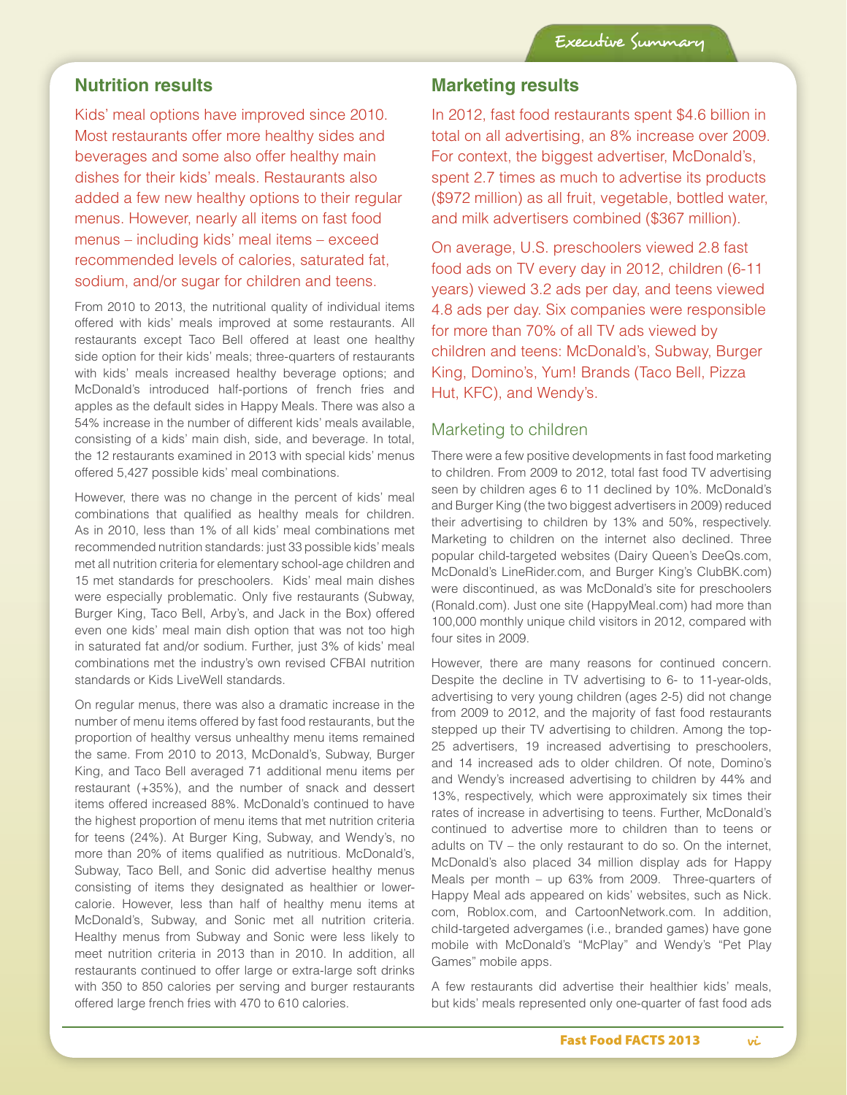# **Nutrition results**

Kids' meal options have improved since 2010. Most restaurants offer more healthy sides and beverages and some also offer healthy main dishes for their kids' meals. Restaurants also added a few new healthy options to their regular menus. However, nearly all items on fast food menus – including kids' meal items – exceed recommended levels of calories, saturated fat, sodium, and/or sugar for children and teens.

From 2010 to 2013, the nutritional quality of individual items offered with kids' meals improved at some restaurants. All restaurants except Taco Bell offered at least one healthy side option for their kids' meals; three-quarters of restaurants with kids' meals increased healthy beverage options; and McDonald's introduced half-portions of french fries and apples as the default sides in Happy Meals. There was also a 54% increase in the number of different kids' meals available, consisting of a kids' main dish, side, and beverage. In total, the 12 restaurants examined in 2013 with special kids' menus offered 5,427 possible kids' meal combinations.

However, there was no change in the percent of kids' meal combinations that qualified as healthy meals for children. As in 2010, less than 1% of all kids' meal combinations met recommended nutrition standards: just 33 possible kids' meals met all nutrition criteria for elementary school-age children and 15 met standards for preschoolers. Kids' meal main dishes were especially problematic. Only five restaurants (Subway, Burger King, Taco Bell, Arby's, and Jack in the Box) offered even one kids' meal main dish option that was not too high in saturated fat and/or sodium. Further, just 3% of kids' meal combinations met the industry's own revised CFBAI nutrition standards or Kids LiveWell standards.

On regular menus, there was also a dramatic increase in the number of menu items offered by fast food restaurants, but the proportion of healthy versus unhealthy menu items remained the same. From 2010 to 2013, McDonald's, Subway, Burger King, and Taco Bell averaged 71 additional menu items per restaurant (+35%), and the number of snack and dessert items offered increased 88%. McDonald's continued to have the highest proportion of menu items that met nutrition criteria for teens (24%). At Burger King, Subway, and Wendy's, no more than 20% of items qualified as nutritious. McDonald's, Subway, Taco Bell, and Sonic did advertise healthy menus consisting of items they designated as healthier or lowercalorie. However, less than half of healthy menu items at McDonald's, Subway, and Sonic met all nutrition criteria. Healthy menus from Subway and Sonic were less likely to meet nutrition criteria in 2013 than in 2010. In addition, all restaurants continued to offer large or extra-large soft drinks with 350 to 850 calories per serving and burger restaurants offered large french fries with 470 to 610 calories.

## **Marketing results**

In 2012, fast food restaurants spent \$4.6 billion in total on all advertising, an 8% increase over 2009. For context, the biggest advertiser, McDonald's, spent 2.7 times as much to advertise its products (\$972 million) as all fruit, vegetable, bottled water, and milk advertisers combined (\$367 million).

On average, U.S. preschoolers viewed 2.8 fast food ads on TV every day in 2012, children (6-11 years) viewed 3.2 ads per day, and teens viewed 4.8 ads per day. Six companies were responsible for more than 70% of all TV ads viewed by children and teens: McDonald's, Subway, Burger King, Domino's, Yum! Brands (Taco Bell, Pizza Hut, KFC), and Wendy's.

### Marketing to children

There were a few positive developments in fast food marketing to children. From 2009 to 2012, total fast food TV advertising seen by children ages 6 to 11 declined by 10%. McDonald's and Burger King (the two biggest advertisers in 2009) reduced their advertising to children by 13% and 50%, respectively. Marketing to children on the internet also declined. Three popular child-targeted websites (Dairy Queen's DeeQs.com, McDonald's LineRider.com, and Burger King's ClubBK.com) were discontinued, as was McDonald's site for preschoolers (Ronald.com). Just one site (HappyMeal.com) had more than 100,000 monthly unique child visitors in 2012, compared with four sites in 2009.

However, there are many reasons for continued concern. Despite the decline in TV advertising to 6- to 11-year-olds, advertising to very young children (ages 2-5) did not change from 2009 to 2012, and the majority of fast food restaurants stepped up their TV advertising to children. Among the top-25 advertisers, 19 increased advertising to preschoolers, and 14 increased ads to older children. Of note, Domino's and Wendy's increased advertising to children by 44% and 13%, respectively, which were approximately six times their rates of increase in advertising to teens. Further, McDonald's continued to advertise more to children than to teens or adults on TV – the only restaurant to do so. On the internet, McDonald's also placed 34 million display ads for Happy Meals per month – up 63% from 2009. Three-quarters of Happy Meal ads appeared on kids' websites, such as Nick. com, Roblox.com, and CartoonNetwork.com. In addition, child-targeted advergames (i.e., branded games) have gone mobile with McDonald's "McPlay" and Wendy's "Pet Play Games" mobile apps.

A few restaurants did advertise their healthier kids' meals, but kids' meals represented only one-quarter of fast food ads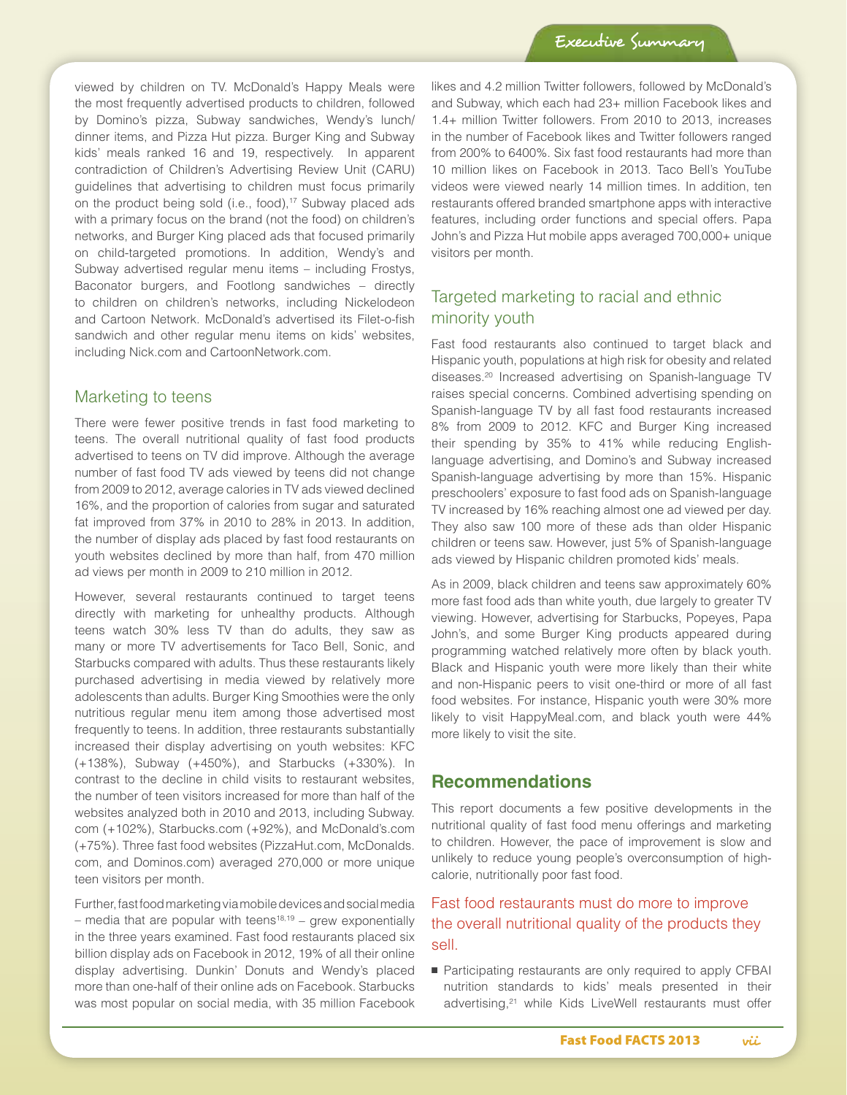viewed by children on TV. McDonald's Happy Meals were the most frequently advertised products to children, followed by Domino's pizza, Subway sandwiches, Wendy's lunch/ dinner items, and Pizza Hut pizza. Burger King and Subway kids' meals ranked 16 and 19, respectively. In apparent contradiction of Children's Advertising Review Unit (CARU) guidelines that advertising to children must focus primarily on the product being sold (i.e., food),<sup>17</sup> Subway placed ads with a primary focus on the brand (not the food) on children's networks, and Burger King placed ads that focused primarily on child-targeted promotions. In addition, Wendy's and Subway advertised regular menu items – including Frostys, Baconator burgers, and Footlong sandwiches – directly to children on children's networks, including Nickelodeon and Cartoon Network. McDonald's advertised its Filet-o-fish sandwich and other regular menu items on kids' websites, including Nick.com and CartoonNetwork.com.

#### Marketing to teens

There were fewer positive trends in fast food marketing to teens. The overall nutritional quality of fast food products advertised to teens on TV did improve. Although the average number of fast food TV ads viewed by teens did not change from 2009 to 2012, average calories in TV ads viewed declined 16%, and the proportion of calories from sugar and saturated fat improved from 37% in 2010 to 28% in 2013. In addition, the number of display ads placed by fast food restaurants on youth websites declined by more than half, from 470 million ad views per month in 2009 to 210 million in 2012.

However, several restaurants continued to target teens directly with marketing for unhealthy products. Although teens watch 30% less TV than do adults, they saw as many or more TV advertisements for Taco Bell, Sonic, and Starbucks compared with adults. Thus these restaurants likely purchased advertising in media viewed by relatively more adolescents than adults. Burger King Smoothies were the only nutritious regular menu item among those advertised most frequently to teens. In addition, three restaurants substantially increased their display advertising on youth websites: KFC (+138%), Subway (+450%), and Starbucks (+330%). In contrast to the decline in child visits to restaurant websites, the number of teen visitors increased for more than half of the websites analyzed both in 2010 and 2013, including Subway. com (+102%), Starbucks.com (+92%), and McDonald's.com (+75%). Three fast food websites (PizzaHut.com, McDonalds. com, and Dominos.com) averaged 270,000 or more unique teen visitors per month.

Further, fast food marketing via mobile devices and social media – media that are popular with teens<sup>18,19</sup> – grew exponentially in the three years examined. Fast food restaurants placed six billion display ads on Facebook in 2012, 19% of all their online display advertising. Dunkin' Donuts and Wendy's placed more than one-half of their online ads on Facebook. Starbucks was most popular on social media, with 35 million Facebook

likes and 4.2 million Twitter followers, followed by McDonald's and Subway, which each had 23+ million Facebook likes and 1.4+ million Twitter followers. From 2010 to 2013, increases in the number of Facebook likes and Twitter followers ranged from 200% to 6400%. Six fast food restaurants had more than 10 million likes on Facebook in 2013. Taco Bell's YouTube videos were viewed nearly 14 million times. In addition, ten restaurants offered branded smartphone apps with interactive features, including order functions and special offers. Papa John's and Pizza Hut mobile apps averaged 700,000+ unique visitors per month.

# Targeted marketing to racial and ethnic minority youth

Fast food restaurants also continued to target black and Hispanic youth, populations at high risk for obesity and related diseases.20 Increased advertising on Spanish-language TV raises special concerns. Combined advertising spending on Spanish-language TV by all fast food restaurants increased 8% from 2009 to 2012. KFC and Burger King increased their spending by 35% to 41% while reducing Englishlanguage advertising, and Domino's and Subway increased Spanish-language advertising by more than 15%. Hispanic preschoolers' exposure to fast food ads on Spanish-language TV increased by 16% reaching almost one ad viewed per day. They also saw 100 more of these ads than older Hispanic children or teens saw. However, just 5% of Spanish-language ads viewed by Hispanic children promoted kids' meals.

As in 2009, black children and teens saw approximately 60% more fast food ads than white youth, due largely to greater TV viewing. However, advertising for Starbucks, Popeyes, Papa John's, and some Burger King products appeared during programming watched relatively more often by black youth. Black and Hispanic youth were more likely than their white and non-Hispanic peers to visit one-third or more of all fast food websites. For instance, Hispanic youth were 30% more likely to visit HappyMeal.com, and black youth were 44% more likely to visit the site.

### **Recommendations**

This report documents a few positive developments in the nutritional quality of fast food menu offerings and marketing to children. However, the pace of improvement is slow and unlikely to reduce young people's overconsumption of highcalorie, nutritionally poor fast food.

## Fast food restaurants must do more to improve the overall nutritional quality of the products they sell.

■ Participating restaurants are only required to apply CFBAI nutrition standards to kids' meals presented in their advertising,<sup>21</sup> while Kids LiveWell restaurants must offer